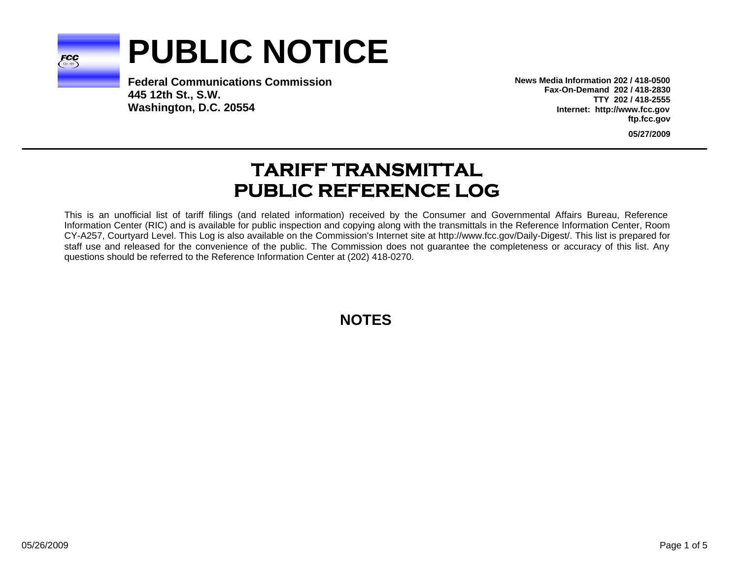

# **PUBLIC NOTICE**

**Federal Communications Commission445 12th St., S.W. Washington, D.C. 20554**

**News Media Information 202 / 418-0500Fax-On-Demand 202 / 418-2830TTY 202 / 418-2555Internet: http://www.fcc.gov ftp.fcc.gov**

**05/27/2009**

# **TARIFF TRANSMITTAL PUBLIC REFERENCE LOG**

This is an unofficial list of tariff filings (and related information) received by the Consumer and Governmental Affairs Bureau, Reference Information Center (RIC) and is available for public inspection and copying along with the transmittals in the Reference Information Center, Room CY-A257, Courtyard Level. This Log is also available on the Commission's Internet site at http://www.fcc.gov/Daily-Digest/. This list is prepared for staff use and released for the convenience of the public. The Commission does not guarantee the completeness or accuracy of this list. Any questions should be referred to the Reference Information Center at (202) 418-0270.

**NOTES**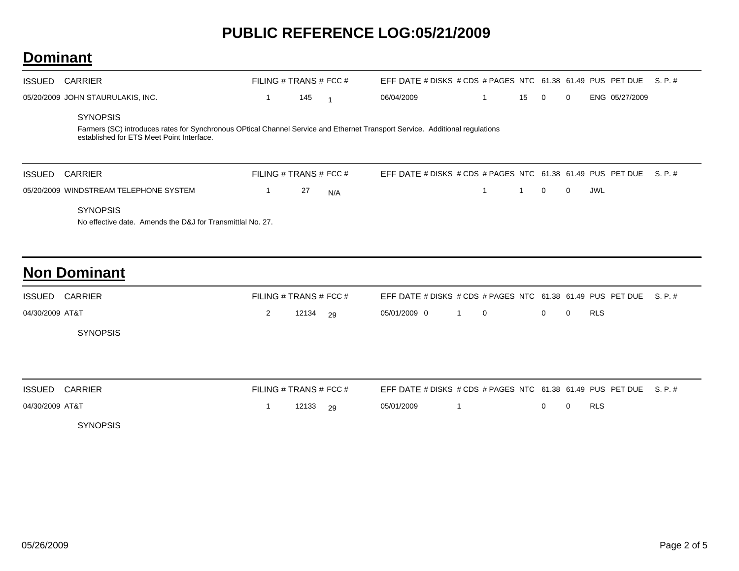#### **Dominant**

| ISSUED        | CARRIER                                                                                                                                                                                      | FILING # TRANS # FCC # |     |                | EFF DATE # DISKS # CDS # PAGES NTC $61.38$ 61.49 PUS PET DUE S. P. # |    |                |                |     |                |  |
|---------------|----------------------------------------------------------------------------------------------------------------------------------------------------------------------------------------------|------------------------|-----|----------------|----------------------------------------------------------------------|----|----------------|----------------|-----|----------------|--|
|               | 05/20/2009 JOHN STAURULAKIS, INC.                                                                                                                                                            |                        | 145 | $\overline{1}$ | 06/04/2009                                                           | 15 | $\overline{0}$ | $\overline{0}$ |     | ENG 05/27/2009 |  |
|               | <b>SYNOPSIS</b><br>Farmers (SC) introduces rates for Synchronous OPtical Channel Service and Ethernet Transport Service. Additional regulations<br>established for ETS Meet Point Interface. |                        |     |                |                                                                      |    |                |                |     |                |  |
| <b>ISSUED</b> |                                                                                                                                                                                              |                        |     |                | EFF DATE # DISKS # CDS # PAGES NTC $61.38$ 61.49 PUS PET DUE S. P. # |    |                |                |     |                |  |
|               | CARRIER                                                                                                                                                                                      | FILING # TRANS # FCC # |     |                |                                                                      |    |                |                |     |                |  |
|               | 05/20/2009 WINDSTREAM TELEPHONE SYSTEM<br><b>SYNOPSIS</b>                                                                                                                                    |                        | 27  | N/A            |                                                                      |    | $\mathbf{0}$   | $\Omega$       | JWL |                |  |

| <b>ISSUED CARRIER</b> | FILING # TRANS # FCC # |                | EFF DATE # DISKS # CDS # PAGES NTC $61.38$ 61.49 PUS PET DUE S. P. # |  |  |     |  |
|-----------------------|------------------------|----------------|----------------------------------------------------------------------|--|--|-----|--|
| 04/30/2009 AT&T       |                        | 2 $12134$ $29$ | 05/01/2009 0 1 0 0 0 0                                               |  |  | RLS |  |
| <b>SYNOPSIS</b>       |                        |                |                                                                      |  |  |     |  |

| ISSUED CARRIER  | FILING # TRANS # FCC # |              |            | EFF DATE # DISKS # CDS # PAGES NTC $61.38$ 61.49 PUS PET DUE S. P. # |                                     |            |  |
|-----------------|------------------------|--------------|------------|----------------------------------------------------------------------|-------------------------------------|------------|--|
| 04/30/2009 AT&T |                        | $12133 - 29$ | 05/01/2009 |                                                                      | $\begin{matrix} 0 & 0 \end{matrix}$ | <b>RLS</b> |  |
| <b>SYNOPSIS</b> |                        |              |            |                                                                      |                                     |            |  |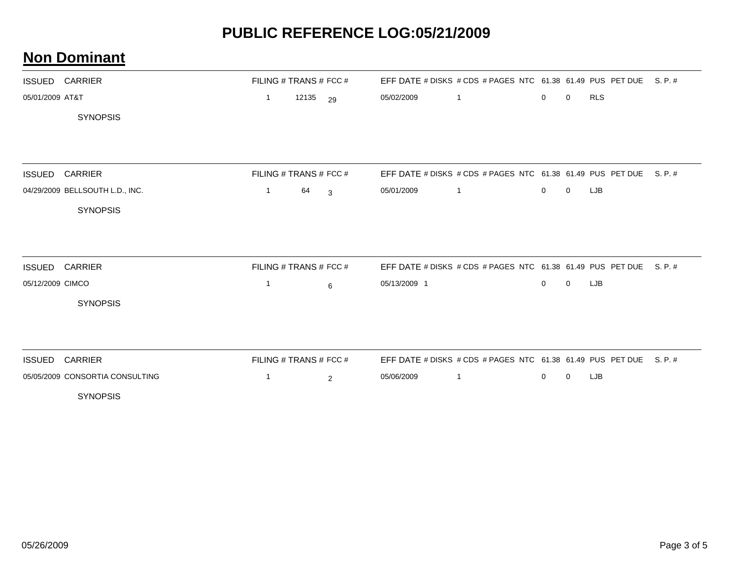|                  | <b>ISSUED CARRIER</b>           |                | FILING # TRANS # FCC # |                         |              | EFF DATE # DISKS # CDS # PAGES NTC 61.38 61.49 PUS PET DUE S. P. # |              |             |            |         |
|------------------|---------------------------------|----------------|------------------------|-------------------------|--------------|--------------------------------------------------------------------|--------------|-------------|------------|---------|
| 05/01/2009 AT&T  |                                 | $\mathbf{1}$   | 12135                  | 29                      | 05/02/2009   | $\overline{1}$                                                     | 0            | 0           | <b>RLS</b> |         |
|                  | <b>SYNOPSIS</b>                 |                |                        |                         |              |                                                                    |              |             |            |         |
|                  |                                 |                |                        |                         |              |                                                                    |              |             |            |         |
| <b>ISSUED</b>    | <b>CARRIER</b>                  |                | FILING # TRANS # FCC # |                         |              | EFF DATE # DISKS # CDS # PAGES NTC 61.38 61.49 PUS PET DUE         |              |             |            | S. P. # |
|                  | 04/29/2009 BELLSOUTH L.D., INC. | $\mathbf{1}$   | 64                     | $\overline{\mathbf{3}}$ | 05/01/2009   | $\overline{1}$                                                     | $\mathbf{0}$ | $\Omega$    | LJB        |         |
|                  | <b>SYNOPSIS</b>                 |                |                        |                         |              |                                                                    |              |             |            |         |
| <b>ISSUED</b>    | <b>CARRIER</b>                  |                | FILING # TRANS # FCC # |                         |              | EFF DATE # DISKS # CDS # PAGES NTC 61.38 61.49 PUS PET DUE         |              |             |            | S. P. # |
| 05/12/2009 CIMCO |                                 | $\overline{1}$ |                        | 6                       | 05/13/2009 1 |                                                                    | $\mathbf{0}$ | $\mathbf 0$ | LJB        |         |
|                  | <b>SYNOPSIS</b>                 |                |                        |                         |              |                                                                    |              |             |            |         |
|                  |                                 |                |                        |                         |              |                                                                    |              |             |            |         |
|                  | ISSUED CARRIER                  |                | FILING # TRANS # FCC # |                         |              | EFF DATE # DISKS # CDS # PAGES NTC 61.38 61.49 PUS PET DUE S. P. # |              |             |            |         |
|                  | 05/05/2009 CONSORTIA CONSULTING | 1              |                        | $\overline{2}$          | 05/06/2009   | $\overline{1}$                                                     | $\mathbf{0}$ | 0           | LJB        |         |
|                  | <b>SYNOPSIS</b>                 |                |                        |                         |              |                                                                    |              |             |            |         |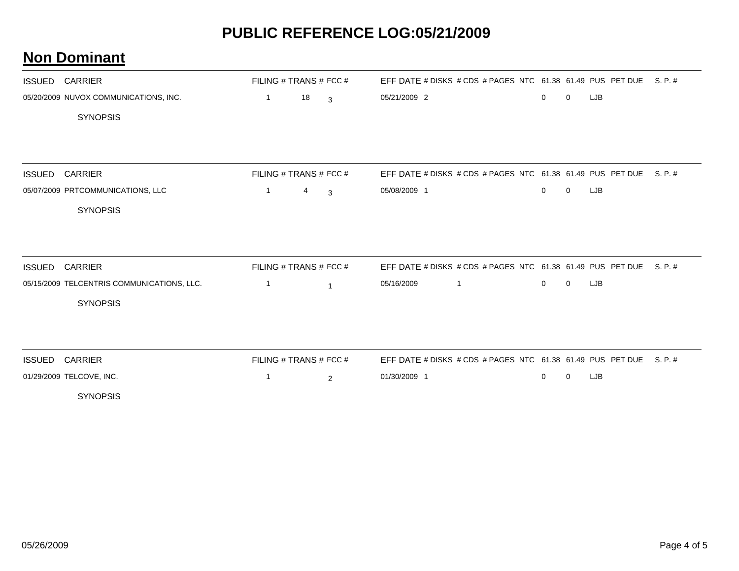| <b>ISSUED</b> | CARRIER                                    | FILING # TRANS # FCC # |    |                | EFF DATE # DISKS # CDS # PAGES NTC 61.38 61.49 PUS PET DUE |             |             |     | S. P. # |
|---------------|--------------------------------------------|------------------------|----|----------------|------------------------------------------------------------|-------------|-------------|-----|---------|
|               | 05/20/2009 NUVOX COMMUNICATIONS, INC.      | $\mathbf{1}$           | 18 | $\overline{3}$ | 05/21/2009 2                                               | $\mathbf 0$ | 0           | LJB |         |
|               | <b>SYNOPSIS</b>                            |                        |    |                |                                                            |             |             |     |         |
|               |                                            |                        |    |                |                                                            |             |             |     |         |
|               |                                            |                        |    |                |                                                            |             |             |     |         |
| <b>ISSUED</b> | <b>CARRIER</b>                             | FILING # TRANS # FCC # |    |                | EFF DATE # DISKS # CDS # PAGES NTC 61.38 61.49 PUS PET DUE |             |             |     | S. P. # |
|               | 05/07/2009 PRTCOMMUNICATIONS, LLC          | $\mathbf{1}$           | 4  | 3              | 05/08/2009 1                                               | $\mathbf 0$ | $\mathbf 0$ | LJB |         |
|               | <b>SYNOPSIS</b>                            |                        |    |                |                                                            |             |             |     |         |
|               |                                            |                        |    |                |                                                            |             |             |     |         |
|               |                                            |                        |    |                |                                                            |             |             |     |         |
| <b>ISSUED</b> | <b>CARRIER</b>                             | FILING # TRANS # FCC # |    |                | EFF DATE # DISKS # CDS # PAGES NTC 61.38 61.49 PUS PET DUE |             |             |     | S. P. # |
|               | 05/15/2009 TELCENTRIS COMMUNICATIONS, LLC. | $\mathbf{1}$           |    | $\overline{1}$ | 05/16/2009<br>$\mathbf{1}$                                 | $\mathbf 0$ | $\mathbf 0$ | LJB |         |
|               | <b>SYNOPSIS</b>                            |                        |    |                |                                                            |             |             |     |         |
|               |                                            |                        |    |                |                                                            |             |             |     |         |
|               |                                            |                        |    |                |                                                            |             |             |     |         |
| <b>ISSUED</b> | <b>CARRIER</b>                             | FILING # TRANS # FCC # |    |                | EFF DATE # DISKS # CDS # PAGES NTC 61.38 61.49 PUS PET DUE |             |             |     | S. P. # |
|               | 01/29/2009 TELCOVE, INC.                   | $\mathbf{1}$           |    | 2              | 01/30/2009 1                                               | 0           | 0           | LJB |         |
|               | <b>SYNOPSIS</b>                            |                        |    |                |                                                            |             |             |     |         |